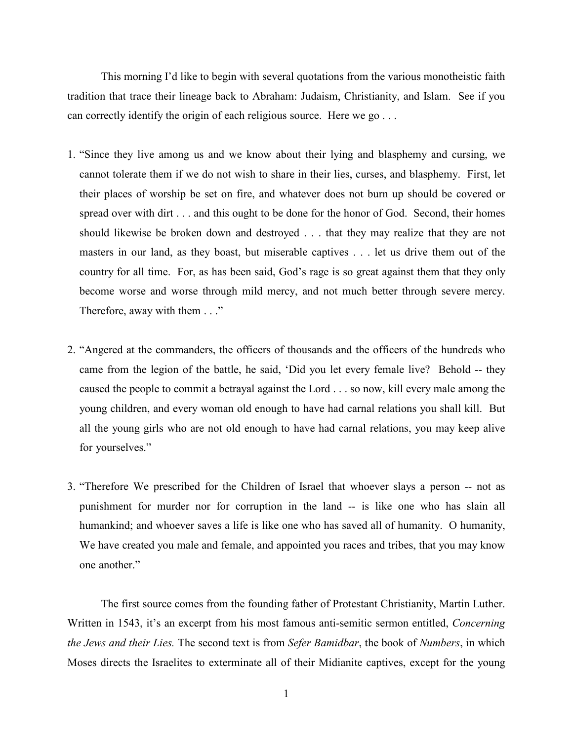This morning I'd like to begin with several quotations from the various monotheistic faith tradition that trace their lineage back to Abraham: Judaism, Christianity, and Islam. See if you can correctly identify the origin of each religious source. Here we go . . .

- 1. "Since they live among us and we know about their lying and blasphemy and cursing, we cannot tolerate them if we do not wish to share in their lies, curses, and blasphemy. First, let their places of worship be set on fire, and whatever does not burn up should be covered or spread over with dirt . . . and this ought to be done for the honor of God. Second, their homes should likewise be broken down and destroyed . . . that they may realize that they are not masters in our land, as they boast, but miserable captives . . . let us drive them out of the country for all time. For, as has been said, God's rage is so great against them that they only become worse and worse through mild mercy, and not much better through severe mercy. Therefore, away with them . . ."
- 2. "Angered at the commanders, the officers of thousands and the officers of the hundreds who came from the legion of the battle, he said, 'Did you let every female live? Behold -- they caused the people to commit a betrayal against the Lord . . . so now, kill every male among the young children, and every woman old enough to have had carnal relations you shall kill. But all the young girls who are not old enough to have had carnal relations, you may keep alive for yourselves."
- 3. "Therefore We prescribed for the Children of Israel that whoever slays a person -- not as punishment for murder nor for corruption in the land -- is like one who has slain all humankind; and whoever saves a life is like one who has saved all of humanity. O humanity, We have created you male and female, and appointed you races and tribes, that you may know one another."

The first source comes from the founding father of Protestant Christianity, Martin Luther. Written in 1543, it's an excerpt from his most famous anti-semitic sermon entitled, *Concerning the Jews and their Lies.* The second text is from *Sefer Bamidbar*, the book of *Numbers*, in which Moses directs the Israelites to exterminate all of their Midianite captives, except for the young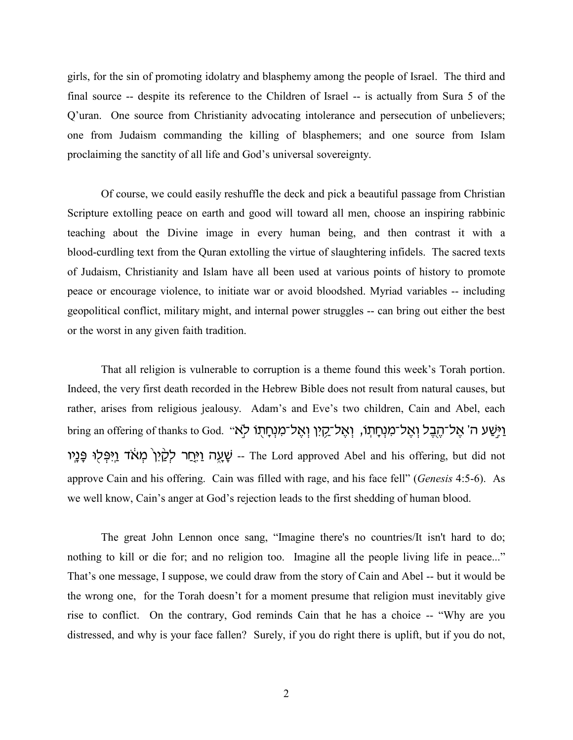girls, for the sin of promoting idolatry and blasphemy among the people of Israel. The third and final source -- despite its reference to the Children of Israel -- is actually from Sura 5 of the Q'uran. One source from Christianity advocating intolerance and persecution of unbelievers; one from Judaism commanding the killing of blasphemers; and one source from Islam proclaiming the sanctity of all life and God's universal sovereignty.

Of course, we could easily reshuffle the deck and pick a beautiful passage from Christian Scripture extolling peace on earth and good will toward all men, choose an inspiring rabbinic teaching about the Divine image in every human being, and then contrast it with a blood-curdling text from the Quran extolling the virtue of slaughtering infidels. The sacred texts of Judaism, Christianity and Islam have all been used at various points of history to promote peace or encourage violence, to initiate war or avoid bloodshed. Myriad variables -- including geopolitical conflict, military might, and internal power struggles -- can bring out either the best or the worst in any given faith tradition.

That all religion is vulnerable to corruption is a theme found this week's Torah portion. Indeed, the very first death recorded in the Hebrew Bible does not result from natural causes, but rather, arises from religious jealousy. Adam's and Eve's two children, Cain and Abel, each bring an offering of thanks to God. "וַיָּשַׁע ה' אֱל־קָבֶל וְאֶל־מִנְחָתָוֹ, וְאֶל־קַקָיִן וְאֶל־מִנְחָתָוֹ ל שָׁעֲה וַיָּחֲר לְקָיָן מְאֹד וַיִּפְּלוּ פָּנָיו - The Lord approved Abel and his offering, but did not approve Cain and his offering. Cain was filled with rage, and his face fell" (*Genesis* 4:5-6). As we well know, Cain's anger at God's rejection leads to the first shedding of human blood.

The great John Lennon once sang, "Imagine there's no countries/It isn't hard to do; nothing to kill or die for; and no religion too. Imagine all the people living life in peace..." That's one message, I suppose, we could draw from the story of Cain and Abel -- but it would be the wrong one, for the Torah doesn't for a moment presume that religion must inevitably give rise to conflict. On the contrary, God reminds Cain that he has a choice -- "Why are you distressed, and why is your face fallen? Surely, if you do right there is uplift, but if you do not,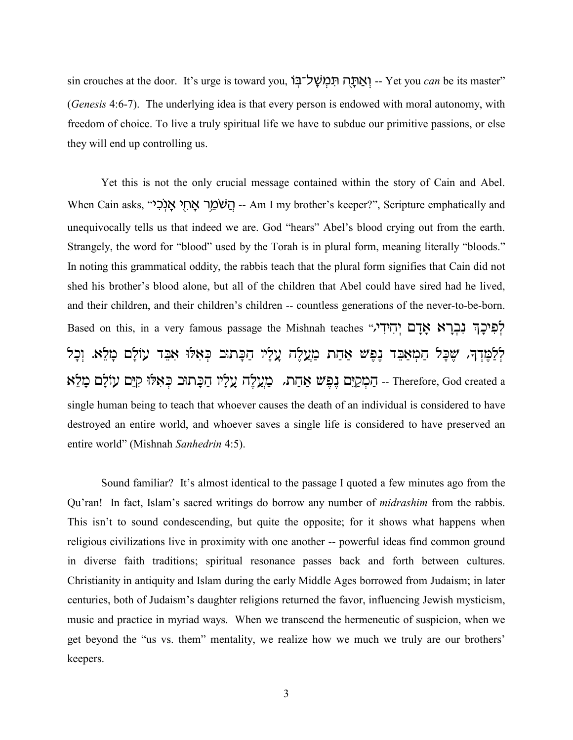sin crouches at the door. It's urge is toward you, יְאֲתָּרָה הִ*נְמְעָל־בָּוֹ* (Yet you *can* be its master" (*Genesis* 4:6-7). The underlying idea is that every person is endowed with moral autonomy, with freedom of choice. To live a truly spiritual life we have to subdue our primitive passions, or else they will end up controlling us.

Yet this is not the only crucial message contained within the story of Cain and Abel. When Cain asks, "הַשְׁמֵר אֲחָי אֲנְכָי Am I my brother's keeper?", Scripture emphatically and unequivocally tells us that indeed we are. God "hears" Abel's blood crying out from the earth. Strangely, the word for "blood" used by the Torah is in plural form, meaning literally "bloods." In noting this grammatical oddity, the rabbis teach that the plural form signifies that Cain did not shed his brother's blood alone, but all of the children that Abel could have sired had he lived, and their children, and their children's children -- countless generations of the never-to-be-born. Based on this, in a very famous passage the Mishnah teaches "יְהִידִי, "Rich Qreed on this, in a very famous passage the Mishnah teaches לְלַמֵּדְךָ, שֶׁכָּל הַמְאַבֵּד נֵפֵשׁ אַחַת מַעֲלֵה עָלָיו הַכָּתוּב כִּאָלוּ אָבֵד עוֹלָם מָלֵא. וְכָל המקים נפש אחת, מעלה עליו הכתוב כאלו קים עולם מלא -- Therefore, God created a single human being to teach that whoever causes the death of an individual is considered to have destroyed an entire world, and whoever saves a single life is considered to have preserved an entire world" (Mishnah *Sanhedrin* 4:5).

Sound familiar? It's almost identical to the passage I quoted a few minutes ago from the Qu'ran! In fact, Islam's sacred writings do borrow any number of *midrashim* from the rabbis. This isn't to sound condescending, but quite the opposite; for it shows what happens when religious civilizations live in proximity with one another -- powerful ideas find common ground in diverse faith traditions; spiritual resonance passes back and forth between cultures. Christianity in antiquity and Islam during the early Middle Ages borrowed from Judaism; in later centuries, both of Judaism's daughter religions returned the favor, influencing Jewish mysticism, music and practice in myriad ways. When we transcend the hermeneutic of suspicion, when we get beyond the "us vs. them" mentality, we realize how we much we truly are our brothers' keepers.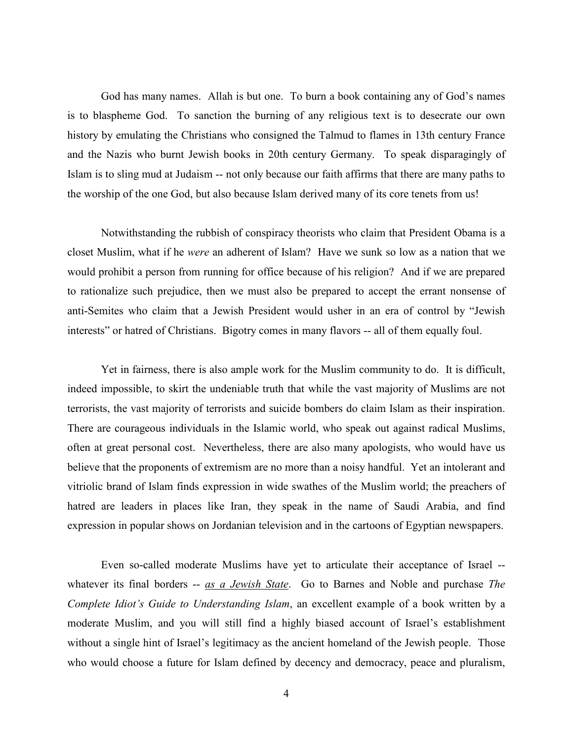God has many names. Allah is but one. To burn a book containing any of God's names is to blaspheme God. To sanction the burning of any religious text is to desecrate our own history by emulating the Christians who consigned the Talmud to flames in 13th century France and the Nazis who burnt Jewish books in 20th century Germany. To speak disparagingly of Islam is to sling mud at Judaism -- not only because our faith affirms that there are many paths to the worship of the one God, but also because Islam derived many of its core tenets from us!

Notwithstanding the rubbish of conspiracy theorists who claim that President Obama is a closet Muslim, what if he *were* an adherent of Islam? Have we sunk so low as a nation that we would prohibit a person from running for office because of his religion? And if we are prepared to rationalize such prejudice, then we must also be prepared to accept the errant nonsense of anti-Semites who claim that a Jewish President would usher in an era of control by "Jewish interests" or hatred of Christians. Bigotry comes in many flavors -- all of them equally foul.

Yet in fairness, there is also ample work for the Muslim community to do. It is difficult, indeed impossible, to skirt the undeniable truth that while the vast majority of Muslims are not terrorists, the vast majority of terrorists and suicide bombers do claim Islam as their inspiration. There are courageous individuals in the Islamic world, who speak out against radical Muslims, often at great personal cost. Nevertheless, there are also many apologists, who would have us believe that the proponents of extremism are no more than a noisy handful. Yet an intolerant and vitriolic brand of Islam finds expression in wide swathes of the Muslim world; the preachers of hatred are leaders in places like Iran, they speak in the name of Saudi Arabia, and find expression in popular shows on Jordanian television and in the cartoons of Egyptian newspapers.

Even so-called moderate Muslims have yet to articulate their acceptance of Israel - whatever its final borders -- *as a Jewish State*. Go to Barnes and Noble and purchase *The Complete Idiot's Guide to Understanding Islam*, an excellent example of a book written by a moderate Muslim, and you will still find a highly biased account of Israel's establishment without a single hint of Israel's legitimacy as the ancient homeland of the Jewish people. Those who would choose a future for Islam defined by decency and democracy, peace and pluralism,